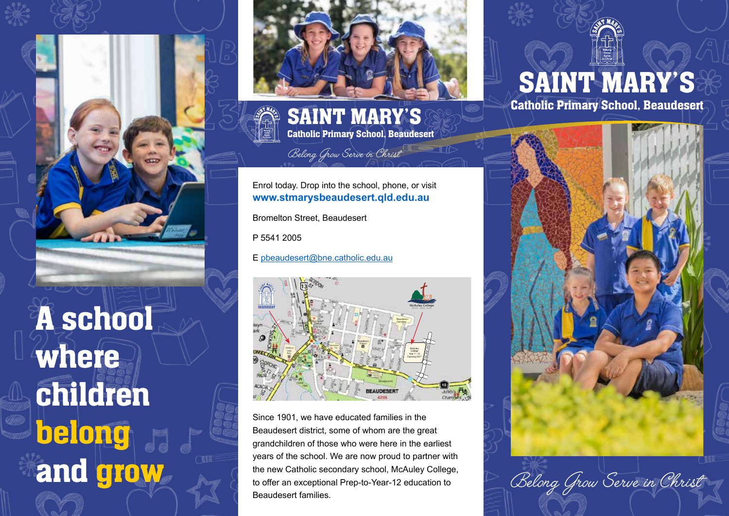

belong

and grow



SAINT MARY'S Catholic Primary School, Beaudesert

Belong Grow Serve in Christ

#### Enrol today. Drop into the school, phone, or visit **www.stmarysbeaudesert.qld.edu.au**

Bromelton Street, Beaudesert

P 5541 2005

E pbeaudesert@bne.catholic.edu.au



Since 1901, we have educated families in the Beaudesert district, some of whom are the great grandchildren of those who were here in the earliest years of the school. We are now proud to partner with the new Catholic secondary school, McAuley College, to offer an exceptional Prep-to-Year-12 education to Beaudesert families.

## SAINT MARY'S

Catholic Primary School, Beaudesert